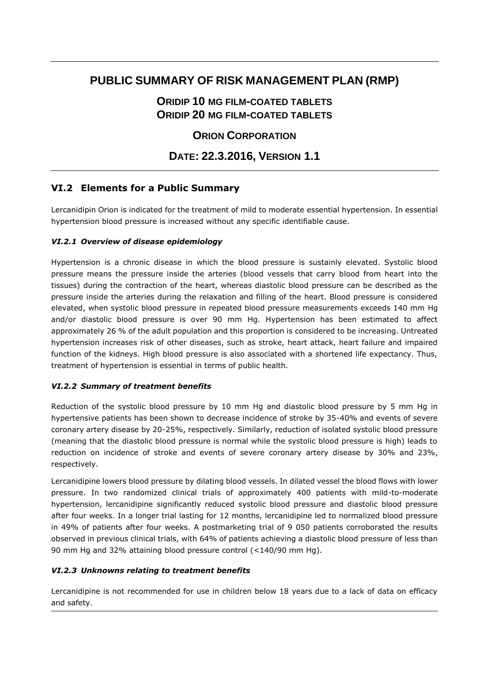# **PUBLIC SUMMARY OF RISK MANAGEMENT PLAN (RMP)**

# **ORIDIP 10 MG FILM-COATED TABLETS ORIDIP 20 MG FILM-COATED TABLETS**

## **ORION CORPORATION**

# **DATE: 22.3.2016, VERSION 1.1**

## **VI.2 Elements for a Public Summary**

Lercanidipin Orion is indicated for the treatment of mild to moderate essential hypertension. In essential hypertension blood pressure is increased without any specific identifiable cause.

### *VI.2.1 Overview of disease epidemiology*

Hypertension is a chronic disease in which the blood pressure is sustainly elevated. Systolic blood pressure means the pressure inside the arteries (blood vessels that carry blood from heart into the tissues) during the contraction of the heart, whereas diastolic blood pressure can be described as the pressure inside the arteries during the relaxation and filling of the heart. Blood pressure is considered elevated, when systolic blood pressure in repeated blood pressure measurements exceeds 140 mm Hg and/or diastolic blood pressure is over 90 mm Hg. Hypertension has been estimated to affect approximately 26 % of the adult population and this proportion is considered to be increasing. Untreated hypertension increases risk of other diseases, such as stroke, heart attack, heart failure and impaired function of the kidneys. High blood pressure is also associated with a shortened life expectancy. Thus, treatment of hypertension is essential in terms of public health.

#### *VI.2.2 Summary of treatment benefits*

Reduction of the systolic blood pressure by 10 mm Hg and diastolic blood pressure by 5 mm Hg in hypertensive patients has been shown to decrease incidence of stroke by 35-40% and events of severe coronary artery disease by 20-25%, respectively. Similarly, reduction of isolated systolic blood pressure (meaning that the diastolic blood pressure is normal while the systolic blood pressure is high) leads to reduction on incidence of stroke and events of severe coronary artery disease by 30% and 23%, respectively.

Lercanidipine lowers blood pressure by dilating blood vessels. In dilated vessel the blood flows with lower pressure. In two randomized clinical trials of approximately 400 patients with mild-to-moderate hypertension, lercanidipine significantly reduced systolic blood pressure and diastolic blood pressure after four weeks. In a longer trial lasting for 12 months, lercanidipine led to normalized blood pressure in 49% of patients after four weeks. A postmarketing trial of 9 050 patients corroborated the results observed in previous clinical trials, with 64% of patients achieving a diastolic blood pressure of less than 90 mm Hg and 32% attaining blood pressure control (<140/90 mm Hg).

### *VI.2.3 Unknowns relating to treatment benefits*

Lercanidipine is not recommended for use in children below 18 years due to a lack of data on efficacy and safety.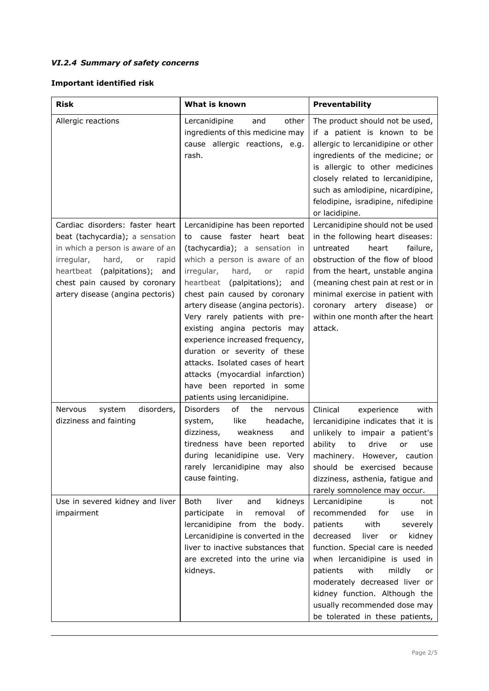## *VI.2.4 Summary of safety concerns*

## **Important identified risk**

| <b>Risk</b>                                                                                                                                                                                                                                        | What is known                                                                                                                                                                                                                                                                                                                                                                                                                                                                                                                                                  | Preventability                                                                                                                                                                                                                                                                                                                                                                     |
|----------------------------------------------------------------------------------------------------------------------------------------------------------------------------------------------------------------------------------------------------|----------------------------------------------------------------------------------------------------------------------------------------------------------------------------------------------------------------------------------------------------------------------------------------------------------------------------------------------------------------------------------------------------------------------------------------------------------------------------------------------------------------------------------------------------------------|------------------------------------------------------------------------------------------------------------------------------------------------------------------------------------------------------------------------------------------------------------------------------------------------------------------------------------------------------------------------------------|
| Allergic reactions                                                                                                                                                                                                                                 | Lercanidipine<br>other<br>and<br>ingredients of this medicine may<br>cause allergic reactions, e.g.<br>rash.                                                                                                                                                                                                                                                                                                                                                                                                                                                   | The product should not be used,<br>if a patient is known to be<br>allergic to lercanidipine or other<br>ingredients of the medicine; or<br>is allergic to other medicines<br>closely related to lercanidipine,<br>such as amlodipine, nicardipine,<br>felodipine, isradipine, nifedipine<br>or lacidipine.                                                                         |
| Cardiac disorders: faster heart<br>beat (tachycardia); a sensation<br>in which a person is aware of an<br>irregular,<br>hard,<br>or<br>rapid<br>heartbeat (palpitations); and<br>chest pain caused by coronary<br>artery disease (angina pectoris) | Lercanidipine has been reported<br>cause faster heart beat<br>to<br>(tachycardia); a sensation in<br>which a person is aware of an<br>irregular,<br>hard,<br>or<br>rapid<br>(palpitations); and<br>heartbeat<br>chest pain caused by coronary<br>artery disease (angina pectoris).<br>Very rarely patients with pre-<br>existing angina pectoris may<br>experience increased frequency,<br>duration or severity of these<br>attacks. Isolated cases of heart<br>attacks (myocardial infarction)<br>have been reported in some<br>patients using lercanidipine. | Lercanidipine should not be used<br>in the following heart diseases:<br>untreated<br>heart<br>failure,<br>obstruction of the flow of blood<br>from the heart, unstable angina<br>(meaning chest pain at rest or in<br>minimal exercise in patient with<br>coronary artery disease)<br>or<br>within one month after the heart<br>attack.                                            |
| Nervous<br>disorders,<br>system<br>dizziness and fainting                                                                                                                                                                                          | <b>Disorders</b><br>of<br>the<br>nervous<br>system,<br>like<br>headache,<br>dizziness,<br>weakness<br>and<br>tiredness have been reported<br>during lecanidipine use. Very<br>rarely lercanidipine may also<br>cause fainting.                                                                                                                                                                                                                                                                                                                                 | Clinical<br>experience<br>with<br>lercanidipine indicates that it is<br>unlikely to impair a patient's<br>ability<br>drive<br>to<br>or<br>use<br>machinery.<br>However, caution<br>should be exercised because<br>dizziness, asthenia, fatigue and<br>rarely somnolence may occur.                                                                                                 |
| Use in severed kidney and liver<br>impairment                                                                                                                                                                                                      | Both<br>kidneys<br>liver<br>and<br>removal<br>participate<br>in<br>of<br>lercanidipine from the body.<br>Lercanidipine is converted in the<br>liver to inactive substances that<br>are excreted into the urine via<br>kidneys.                                                                                                                                                                                                                                                                                                                                 | Lercanidipine<br>is<br>not<br>recommended<br>for<br>use<br>in.<br>patients<br>with<br>severely<br>decreased<br>liver<br>kidney<br>or<br>function. Special care is needed<br>when lercanidipine is used in<br>with<br>mildly<br>patients<br>or<br>moderately decreased liver or<br>kidney function. Although the<br>usually recommended dose may<br>be tolerated in these patients, |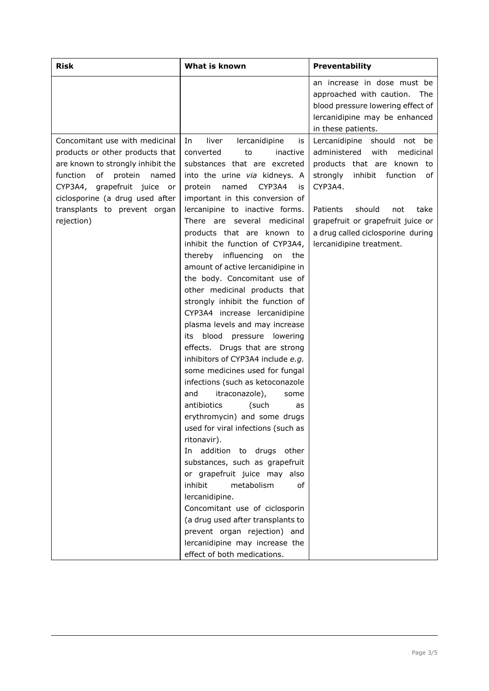| <b>Risk</b>                                                                                                                                                                                                                                                  | What is known                                                                                                                                                                                                                                                                                                                                                                                                                                                                                                                                                                                                                                                                                                                                                                                                                                                                                                                                                                                                                                                                                                                                                                                                                      | Preventability                                                                                                                                                                                                                                                                                                   |
|--------------------------------------------------------------------------------------------------------------------------------------------------------------------------------------------------------------------------------------------------------------|------------------------------------------------------------------------------------------------------------------------------------------------------------------------------------------------------------------------------------------------------------------------------------------------------------------------------------------------------------------------------------------------------------------------------------------------------------------------------------------------------------------------------------------------------------------------------------------------------------------------------------------------------------------------------------------------------------------------------------------------------------------------------------------------------------------------------------------------------------------------------------------------------------------------------------------------------------------------------------------------------------------------------------------------------------------------------------------------------------------------------------------------------------------------------------------------------------------------------------|------------------------------------------------------------------------------------------------------------------------------------------------------------------------------------------------------------------------------------------------------------------------------------------------------------------|
|                                                                                                                                                                                                                                                              |                                                                                                                                                                                                                                                                                                                                                                                                                                                                                                                                                                                                                                                                                                                                                                                                                                                                                                                                                                                                                                                                                                                                                                                                                                    | an increase in dose must be<br>approached with caution. The<br>blood pressure lowering effect of<br>lercanidipine may be enhanced                                                                                                                                                                                |
| Concomitant use with medicinal<br>products or other products that<br>are known to strongly inhibit the<br>function<br>of<br>protein<br>named<br>CYP3A4, grapefruit juice or<br>ciclosporine (a drug used after<br>transplants to prevent organ<br>rejection) | liver<br>lercanidipine<br>In<br>is<br>converted<br>inactive<br>to<br>substances that are excreted<br>into the urine via kidneys. A<br>named<br>CYP3A4<br>protein<br>is<br>important in this conversion of<br>lercanipine to inactive forms.<br>There are several medicinal<br>products that are known to<br>inhibit the function of CYP3A4,<br>thereby influencing<br>on<br>the<br>amount of active lercanidipine in<br>the body. Concomitant use of<br>other medicinal products that<br>strongly inhibit the function of<br>CYP3A4 increase lercanidipine<br>plasma levels and may increase<br>blood<br>pressure<br>lowering<br>its<br>effects. Drugs that are strong<br>inhibitors of CYP3A4 include e.g.<br>some medicines used for fungal<br>infections (such as ketoconazole<br>and<br>itraconazole),<br>some<br>antibiotics<br>(such<br>as<br>erythromycin) and some drugs<br>used for viral infections (such as<br>ritonavir).<br>addition to drugs other<br>In<br>substances, such as grapefruit<br>or grapefruit juice may also<br>inhibit<br>metabolism<br>οf<br>lercanidipine.<br>Concomitant use of ciclosporin<br>(a drug used after transplants to<br>prevent organ rejection) and<br>lercanidipine may increase the | in these patients.<br>Lercanidipine should not be<br>administered<br>with<br>medicinal<br>products that are known to<br>strongly<br>inhibit function<br>of<br>CYP3A4.<br>Patients<br>should<br>not<br>take<br>grapefruit or grapefruit juice or<br>a drug called ciclosporine during<br>lercanidipine treatment. |
|                                                                                                                                                                                                                                                              | effect of both medications.                                                                                                                                                                                                                                                                                                                                                                                                                                                                                                                                                                                                                                                                                                                                                                                                                                                                                                                                                                                                                                                                                                                                                                                                        |                                                                                                                                                                                                                                                                                                                  |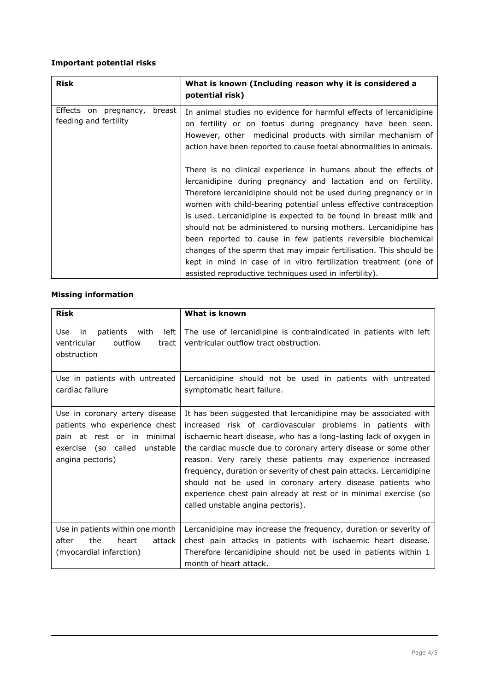### **Important potential risks**

| <b>Risk</b>                                                 | What is known (Including reason why it is considered a<br>potential risk)                                                                                                                                                                                                                                                                                                                                                                                                                                                                                                                                                                                                                |
|-------------------------------------------------------------|------------------------------------------------------------------------------------------------------------------------------------------------------------------------------------------------------------------------------------------------------------------------------------------------------------------------------------------------------------------------------------------------------------------------------------------------------------------------------------------------------------------------------------------------------------------------------------------------------------------------------------------------------------------------------------------|
| breast<br>Effects on<br>pregnancy,<br>feeding and fertility | In animal studies no evidence for harmful effects of lercanidipine<br>on fertility or on foetus during pregnancy have been seen.<br>However, other medicinal products with similar mechanism of<br>action have been reported to cause foetal abnormalities in animals.                                                                                                                                                                                                                                                                                                                                                                                                                   |
|                                                             | There is no clinical experience in humans about the effects of<br>lercanidipine during pregnancy and lactation and on fertility.<br>Therefore lercanidipine should not be used during pregnancy or in<br>women with child-bearing potential unless effective contraception<br>is used. Lercanidipine is expected to be found in breast milk and<br>should not be administered to nursing mothers. Lercanidipine has<br>been reported to cause in few patients reversible biochemical<br>changes of the sperm that may impair fertilisation. This should be<br>kept in mind in case of in vitro fertilization treatment (one of<br>assisted reproductive techniques used in infertility). |

### **Missing information**

| <b>Risk</b>                                                                                                                                          | What is known                                                                                                                                                                                                                                                                                                                                                                                                                                                                                                                                                                       |
|------------------------------------------------------------------------------------------------------------------------------------------------------|-------------------------------------------------------------------------------------------------------------------------------------------------------------------------------------------------------------------------------------------------------------------------------------------------------------------------------------------------------------------------------------------------------------------------------------------------------------------------------------------------------------------------------------------------------------------------------------|
| Use<br>left<br>patients<br>with<br>in<br>outflow<br>ventricular<br>tract<br>obstruction                                                              | The use of lercanidipine is contraindicated in patients with left<br>ventricular outflow tract obstruction.                                                                                                                                                                                                                                                                                                                                                                                                                                                                         |
| Use in patients with untreated<br>cardiac failure                                                                                                    | Lercanidipine should not be used in patients with untreated<br>symptomatic heart failure.                                                                                                                                                                                                                                                                                                                                                                                                                                                                                           |
| Use in coronary artery disease<br>patients who experience chest<br>pain at rest or in minimal<br>exercise (so called<br>unstable<br>angina pectoris) | It has been suggested that lercanidipine may be associated with<br>increased risk of cardiovascular problems in patients with<br>ischaemic heart disease, who has a long-lasting lack of oxygen in<br>the cardiac muscle due to coronary artery disease or some other<br>reason. Very rarely these patients may experience increased<br>frequency, duration or severity of chest pain attacks. Lercanidipine<br>should not be used in coronary artery disease patients who<br>experience chest pain already at rest or in minimal exercise (so<br>called unstable angina pectoris). |
| Use in patients within one month<br>after<br>the<br>attack<br>heart<br>(myocardial infarction)                                                       | Lercanidipine may increase the frequency, duration or severity of<br>chest pain attacks in patients with ischaemic heart disease.<br>Therefore lercanidipine should not be used in patients within 1<br>month of heart attack.                                                                                                                                                                                                                                                                                                                                                      |